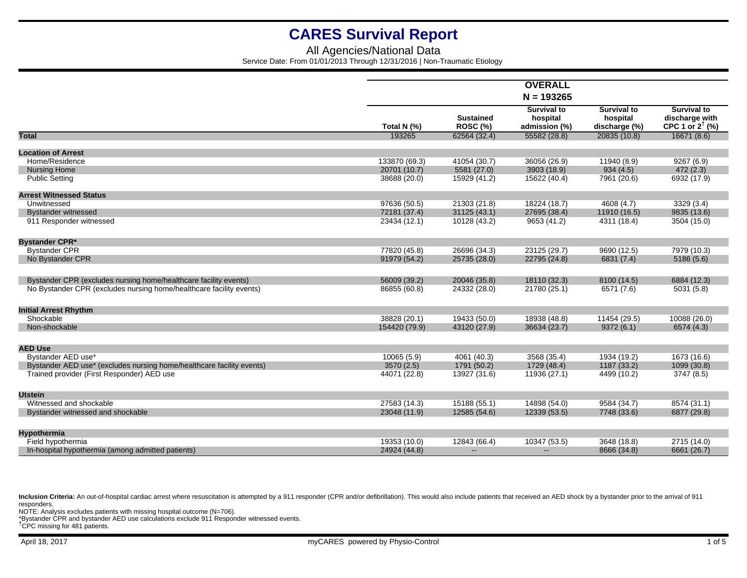## All Agencies/National Data Service Date: From 01/01/2013 Through 12/31/2016 | Non-Traumatic Etiology

|                                                                       |               |                                     | <b>OVERALL</b>                                  |                                                 |                                                                    |
|-----------------------------------------------------------------------|---------------|-------------------------------------|-------------------------------------------------|-------------------------------------------------|--------------------------------------------------------------------|
|                                                                       |               |                                     |                                                 |                                                 |                                                                    |
|                                                                       | Total N (%)   | <b>Sustained</b><br><b>ROSC (%)</b> | <b>Survival to</b><br>hospital<br>admission (%) | <b>Survival to</b><br>hospital<br>discharge (%) | <b>Survival to</b><br>discharge with<br>CPC 1 or $2^{\dagger}$ (%) |
| <b>Total</b>                                                          | 193265        | 62564 (32.4)                        | 55582 (28.8)                                    | 20835 (10.8)                                    | 16671 (8.6)                                                        |
| <b>Location of Arrest</b>                                             |               |                                     |                                                 |                                                 |                                                                    |
| Home/Residence                                                        | 133870 (69.3) | 41054 (30.7)                        | 36056 (26.9)                                    | 11940 (8.9)                                     | 9267(6.9)                                                          |
| <b>Nursing Home</b>                                                   | 20701 (10.7)  | 5581 (27.0)                         | 3903 (18.9)                                     | 934(4.5)                                        | 472(2.3)                                                           |
| <b>Public Setting</b>                                                 | 38688 (20.0)  | 15929 (41.2)                        | 15622 (40.4)                                    | 7961 (20.6)                                     | 6932 (17.9)                                                        |
|                                                                       |               |                                     |                                                 |                                                 |                                                                    |
| <b>Arrest Witnessed Status</b>                                        |               |                                     |                                                 |                                                 |                                                                    |
| Unwitnessed                                                           | 97636 (50.5)  | 21303 (21.8)                        | 18224 (18.7)                                    | 4608 (4.7)                                      | 3329 (3.4)                                                         |
| <b>Bystander witnessed</b>                                            | 72181 (37.4)  | 31125 (43.1)                        | 27695 (38.4)                                    | 11910 (16.5)                                    | 9835 (13.6)                                                        |
| 911 Responder witnessed                                               | 23434 (12.1)  | 10128 (43.2)                        | 9653 (41.2)                                     | 4311 (18.4)                                     | 3504 (15.0)                                                        |
| <b>Bystander CPR*</b>                                                 |               |                                     |                                                 |                                                 |                                                                    |
| <b>Bystander CPR</b>                                                  | 77820 (45.8)  | 26696 (34.3)                        | 23125 (29.7)                                    | 9690 (12.5)                                     | 7979 (10.3)                                                        |
| No Bystander CPR                                                      | 91979 (54.2)  | 25735 (28.0)                        | 22795 (24.8)                                    | 6831 (7.4)                                      | 5186(5.6)                                                          |
|                                                                       |               |                                     |                                                 |                                                 |                                                                    |
| Bystander CPR (excludes nursing home/healthcare facility events)      | 56009 (39.2)  | 20046 (35.8)                        | 18110 (32.3)                                    | 8100 (14.5)                                     | 6884 (12.3)                                                        |
| No Bystander CPR (excludes nursing home/healthcare facility events)   | 86855 (60.8)  | 24332 (28.0)                        | 21780 (25.1)                                    | 6571 (7.6)                                      | 5031 (5.8)                                                         |
|                                                                       |               |                                     |                                                 |                                                 |                                                                    |
| <b>Initial Arrest Rhythm</b>                                          |               |                                     |                                                 |                                                 |                                                                    |
| Shockable                                                             | 38828 (20.1)  | 19433 (50.0)                        | 18938 (48.8)                                    | 11454 (29.5)                                    | 10088 (26.0)                                                       |
| Non-shockable                                                         | 154420 (79.9) | 43120 (27.9)                        | 36634 (23.7)                                    | 9372(6.1)                                       | 6574 (4.3)                                                         |
|                                                                       |               |                                     |                                                 |                                                 |                                                                    |
| <b>AED Use</b>                                                        |               |                                     |                                                 |                                                 |                                                                    |
| Bystander AED use*                                                    | 10065 (5.9)   | 4061 (40.3)                         | 3568 (35.4)                                     | 1934 (19.2)                                     | 1673 (16.6)                                                        |
| Bystander AED use* (excludes nursing home/healthcare facility events) | 3570 (2.5)    | 1791 (50.2)                         | 1729 (48.4)                                     | 1187 (33.2)                                     | 1099 (30.8)                                                        |
| Trained provider (First Responder) AED use                            | 44071 (22.8)  | 13927 (31.6)                        | 11936 (27.1)                                    | 4499 (10.2)                                     | 3747 (8.5)                                                         |
|                                                                       |               |                                     |                                                 |                                                 |                                                                    |
| <b>Utstein</b><br>Witnessed and shockable                             | 27583 (14.3)  | 15188 (55.1)                        | 14898 (54.0)                                    | 9584 (34.7)                                     | 8574 (31.1)                                                        |
|                                                                       | 23048 (11.9)  | 12585 (54.6)                        | 12339 (53.5)                                    | 7748 (33.6)                                     | 6877 (29.8)                                                        |
| Bystander witnessed and shockable                                     |               |                                     |                                                 |                                                 |                                                                    |
| <b>Hypothermia</b>                                                    |               |                                     |                                                 |                                                 |                                                                    |
| Field hypothermia                                                     | 19353 (10.0)  | 12843 (66.4)                        | 10347 (53.5)                                    | 3648 (18.8)                                     | 2715 (14.0)                                                        |
| In-hospital hypothermia (among admitted patients)                     | 24924 (44.8)  | $\frac{1}{2}$                       | $\overline{\phantom{a}}$                        | 8666 (34.8)                                     | 6661 (26.7)                                                        |

Inclusion Criteria: An out-of-hospital cardiac arrest where resuscitation is attempted by a 911 responder (CPR and/or defibrillation). This would also include patients that received an AED shock by a bystander prior to the responders.

NOTE: Analysis excludes patients with missing hospital outcome (N=706).

\*Bystander CPR and bystander AED use calculations exclude 911 Responder witnessed events.

†CPC missing for 481 patients.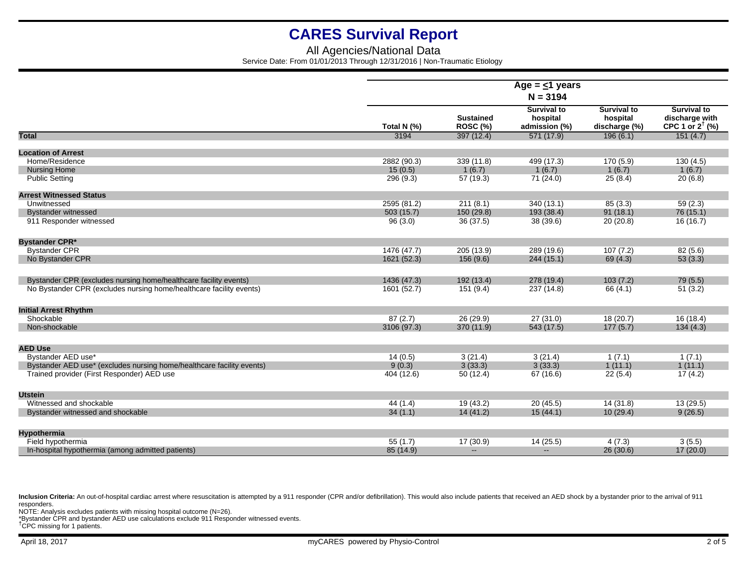## All Agencies/National Data Service Date: From 01/01/2013 Through 12/31/2016 | Non-Traumatic Etiology

|                                                                       | Age = $\leq$ 1 years<br>$N = 3194$ |                              |                                                 |                                                 |                                                                    |  |  |
|-----------------------------------------------------------------------|------------------------------------|------------------------------|-------------------------------------------------|-------------------------------------------------|--------------------------------------------------------------------|--|--|
|                                                                       |                                    |                              |                                                 |                                                 |                                                                    |  |  |
|                                                                       | Total N (%)                        | <b>Sustained</b><br>ROSC (%) | <b>Survival to</b><br>hospital<br>admission (%) | <b>Survival to</b><br>hospital<br>discharge (%) | <b>Survival to</b><br>discharge with<br>CPC 1 or $2^{\dagger}$ (%) |  |  |
| <b>Total</b>                                                          | 3194                               | 397(12.4)                    | 571 (17.9)                                      | 196(6.1)                                        | 151(4.7)                                                           |  |  |
|                                                                       |                                    |                              |                                                 |                                                 |                                                                    |  |  |
| <b>Location of Arrest</b><br>Home/Residence                           |                                    |                              |                                                 |                                                 |                                                                    |  |  |
|                                                                       | 2882 (90.3)<br>15(0.5)             | 339 (11.8)<br>1(6.7)         | 499 (17.3)                                      | 170 (5.9)                                       | 130(4.5)                                                           |  |  |
| <b>Nursing Home</b>                                                   | 296 (9.3)                          |                              | 1(6.7)                                          | 1(6.7)                                          | 1(6.7)                                                             |  |  |
| <b>Public Setting</b>                                                 |                                    | 57 (19.3)                    | 71 (24.0)                                       | 25(8.4)                                         | 20(6.8)                                                            |  |  |
| <b>Arrest Witnessed Status</b>                                        |                                    |                              |                                                 |                                                 |                                                                    |  |  |
| Unwitnessed                                                           | 2595 (81.2)                        | 211(8.1)                     | 340 (13.1)                                      | 85(3.3)                                         | 59(2.3)                                                            |  |  |
| <b>Bystander witnessed</b>                                            | 503(15.7)                          | 150 (29.8)                   | 193 (38.4)                                      | 91(18.1)                                        | 76(15.1)                                                           |  |  |
| 911 Responder witnessed                                               | 96(3.0)                            | 36(37.5)                     | 38 (39.6)                                       | 20(20.8)                                        | 16(16.7)                                                           |  |  |
| <b>Bystander CPR*</b>                                                 |                                    |                              |                                                 |                                                 |                                                                    |  |  |
| <b>Bystander CPR</b>                                                  | 1476 (47.7)                        | 205 (13.9)                   | 289 (19.6)                                      | 107(7.2)                                        | 82(5.6)                                                            |  |  |
| No Bystander CPR                                                      | 1621 (52.3)                        | 156(9.6)                     | 244(15.1)                                       | 69 (4.3)                                        | 53(3.3)                                                            |  |  |
| Bystander CPR (excludes nursing home/healthcare facility events)      | 1436 (47.3)                        | 192 (13.4)                   | 278 (19.4)                                      | 103(7.2)                                        | 79(5.5)                                                            |  |  |
| No Bystander CPR (excludes nursing home/healthcare facility events)   | 1601 (52.7)                        | 151 (9.4)                    | 237 (14.8)                                      | 66 (4.1)                                        | 51(3.2)                                                            |  |  |
| <b>Initial Arrest Rhythm</b>                                          |                                    |                              |                                                 |                                                 |                                                                    |  |  |
| Shockable                                                             | 87(2.7)                            | 26 (29.9)                    | 27(31.0)                                        | 18(20.7)                                        | 16(18.4)                                                           |  |  |
| Non-shockable                                                         | 3106 (97.3)                        | 370 (11.9)                   | 543 (17.5)                                      | 177(5.7)                                        | 134(4.3)                                                           |  |  |
|                                                                       |                                    |                              |                                                 |                                                 |                                                                    |  |  |
| <b>AED Use</b>                                                        |                                    |                              |                                                 |                                                 |                                                                    |  |  |
| Bystander AED use*                                                    | 14(0.5)                            | 3(21.4)                      | 3(21.4)                                         | 1(7.1)                                          | 1(7.1)                                                             |  |  |
| Bystander AED use* (excludes nursing home/healthcare facility events) | 9(0.3)                             | 3(33.3)                      | 3(33.3)                                         | 1(11.1)                                         | 1(11.1)                                                            |  |  |
| Trained provider (First Responder) AED use                            | 404 (12.6)                         | 50(12.4)                     | 67 (16.6)                                       | 22(5.4)                                         | 17(4.2)                                                            |  |  |
| <b>Utstein</b>                                                        |                                    |                              |                                                 |                                                 |                                                                    |  |  |
| Witnessed and shockable                                               | 44 (1.4)                           | 19 (43.2)                    | 20(45.5)                                        | 14 (31.8)                                       | 13(29.5)                                                           |  |  |
| Bystander witnessed and shockable                                     | 34(1.1)                            | 14(41.2)                     | 15(44.1)                                        | 10(29.4)                                        | 9(26.5)                                                            |  |  |
| <b>Hypothermia</b>                                                    |                                    |                              |                                                 |                                                 |                                                                    |  |  |
| Field hypothermia                                                     | 55(1.7)                            | 17 (30.9)                    | 14(25.5)                                        | 4(7.3)                                          | 3(5.5)                                                             |  |  |
| In-hospital hypothermia (among admitted patients)                     | 85 (14.9)                          | $\mathbf{u}$                 | ш,                                              | 26(30.6)                                        | 17(20.0)                                                           |  |  |

Inclusion Criteria: An out-of-hospital cardiac arrest where resuscitation is attempted by a 911 responder (CPR and/or defibrillation). This would also include patients that received an AED shock by a bystander prior to the responders.

NOTE: Analysis excludes patients with missing hospital outcome (N=26).

\*Bystander CPR and bystander AED use calculations exclude 911 Responder witnessed events. †CPC missing for 1 patients.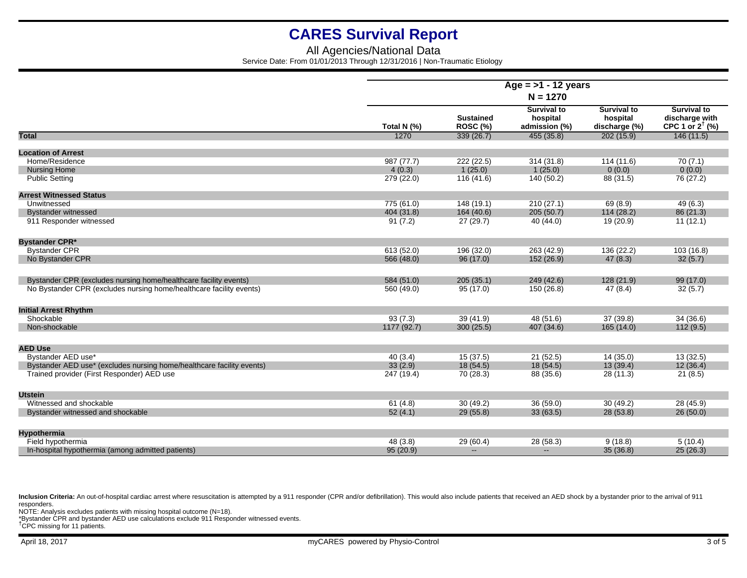## All Agencies/National Data Service Date: From 01/01/2013 Through 12/31/2016 | Non-Traumatic Etiology

|                                                                       | Age = $>1$ - 12 years<br>$N = 1270$ |                                     |                                                 |                                                 |                                                                    |
|-----------------------------------------------------------------------|-------------------------------------|-------------------------------------|-------------------------------------------------|-------------------------------------------------|--------------------------------------------------------------------|
|                                                                       |                                     |                                     |                                                 |                                                 |                                                                    |
|                                                                       | Total N (%)                         | <b>Sustained</b><br><b>ROSC (%)</b> | <b>Survival to</b><br>hospital<br>admission (%) | <b>Survival to</b><br>hospital<br>discharge (%) | <b>Survival to</b><br>discharge with<br>CPC 1 or $2^{\dagger}$ (%) |
| <b>Total</b>                                                          | 1270                                | 339(26.7)                           | 455(35.8)                                       | 202(15.9)                                       | 146(11.5)                                                          |
| <b>Location of Arrest</b>                                             |                                     |                                     |                                                 |                                                 |                                                                    |
| Home/Residence                                                        | 987 (77.7)                          | 222 (22.5)                          | 314 (31.8)                                      | 114 (11.6)                                      | 70(7.1)                                                            |
| <b>Nursing Home</b>                                                   | 4(0.3)                              | 1(25.0)                             | 1(25.0)                                         | 0(0.0)                                          | 0(0.0)                                                             |
| <b>Public Setting</b>                                                 | 279 (22.0)                          | 116(41.6)                           | 140 (50.2)                                      | 88 (31.5)                                       | 76 (27.2)                                                          |
| <b>Arrest Witnessed Status</b>                                        |                                     |                                     |                                                 |                                                 |                                                                    |
| Unwitnessed                                                           | 775 (61.0)                          | 148 (19.1)                          | 210(27.1)                                       | 69(8.9)                                         | 49(6.3)                                                            |
| <b>Bystander witnessed</b>                                            | 404 (31.8)                          | 164(40.6)                           | 205(50.7)                                       | 114(28.2)                                       | 86 (21.3)                                                          |
| 911 Responder witnessed                                               | 91(7.2)                             | 27(29.7)                            | 40 (44.0)                                       | 19 (20.9)                                       | 11(12.1)                                                           |
| <b>Bystander CPR*</b>                                                 |                                     |                                     |                                                 |                                                 |                                                                    |
| <b>Bystander CPR</b>                                                  | 613 (52.0)                          | 196 (32.0)                          | 263 (42.9)                                      | 136 (22.2)                                      | 103(16.8)                                                          |
| No Bystander CPR                                                      | 566 (48.0)                          | 96(17.0)                            | 152 (26.9)                                      | 47(8.3)                                         | 32(5.7)                                                            |
| Bystander CPR (excludes nursing home/healthcare facility events)      | 584 (51.0)                          | 205(35.1)                           | 249 (42.6)                                      | 128 (21.9)                                      | 99 (17.0)                                                          |
| No Bystander CPR (excludes nursing home/healthcare facility events)   | 560 (49.0)                          | 95 (17.0)                           | 150 (26.8)                                      | 47(8.4)                                         | 32(5.7)                                                            |
| <b>Initial Arrest Rhythm</b>                                          |                                     |                                     |                                                 |                                                 |                                                                    |
| Shockable                                                             | 93(7.3)                             | 39 (41.9)                           | 48 (51.6)                                       | 37(39.8)                                        | 34(36.6)                                                           |
| Non-shockable                                                         | 1177 (92.7)                         | 300(25.5)                           | 407 (34.6)                                      | 165 (14.0)                                      | 112(9.5)                                                           |
|                                                                       |                                     |                                     |                                                 |                                                 |                                                                    |
| <b>AED Use</b>                                                        |                                     |                                     |                                                 |                                                 |                                                                    |
| Bystander AED use*                                                    | 40(3.4)                             | 15 (37.5)                           | 21(52.5)                                        | 14(35.0)                                        | 13(32.5)                                                           |
| Bystander AED use* (excludes nursing home/healthcare facility events) | 33(2.9)                             | 18(54.5)                            | 18(54.5)                                        | 13(39.4)                                        | 12(36.4)                                                           |
| Trained provider (First Responder) AED use                            | 247 (19.4)                          | 70 (28.3)                           | 88 (35.6)                                       | 28 (11.3)                                       | 21(8.5)                                                            |
| <b>Utstein</b>                                                        |                                     |                                     |                                                 |                                                 |                                                                    |
| Witnessed and shockable                                               | 61(4.8)                             | 30(49.2)                            | 36(59.0)                                        | 30(49.2)                                        | 28 (45.9)                                                          |
| Bystander witnessed and shockable                                     | 52(4.1)                             | 29(55.8)                            | 33(63.5)                                        | 28 (53.8)                                       | 26(50.0)                                                           |
| <b>Hypothermia</b>                                                    |                                     |                                     |                                                 |                                                 |                                                                    |
| Field hypothermia                                                     | 48 (3.8)                            | 29 (60.4)                           | 28 (58.3)                                       | 9(18.8)                                         | 5(10.4)                                                            |
| In-hospital hypothermia (among admitted patients)                     | 95 (20.9)                           | $\sim$                              | $\qquad \qquad -$                               | 35(36.8)                                        | 25(26.3)                                                           |

Inclusion Criteria: An out-of-hospital cardiac arrest where resuscitation is attempted by a 911 responder (CPR and/or defibrillation). This would also include patients that received an AED shock by a bystander prior to the responders.

NOTE: Analysis excludes patients with missing hospital outcome (N=18).

\*Bystander CPR and bystander AED use calculations exclude 911 Responder witnessed events. †CPC missing for 11 patients.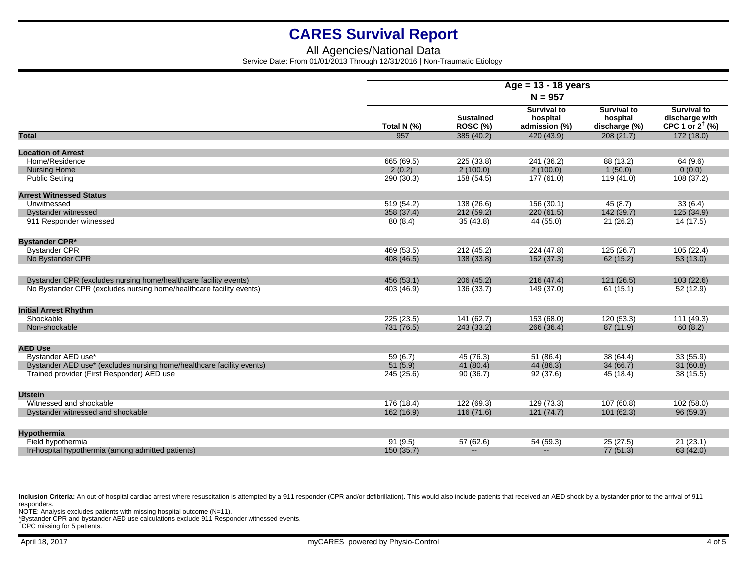## All Agencies/National Data Service Date: From 01/01/2013 Through 12/31/2016 | Non-Traumatic Etiology

|                                                                       | Age = $13 - 18$ years<br>$N = 957$ |                                     |                                                 |                                                 |                                                                    |  |  |
|-----------------------------------------------------------------------|------------------------------------|-------------------------------------|-------------------------------------------------|-------------------------------------------------|--------------------------------------------------------------------|--|--|
|                                                                       |                                    |                                     |                                                 |                                                 |                                                                    |  |  |
|                                                                       | Total N (%)                        | <b>Sustained</b><br><b>ROSC (%)</b> | <b>Survival to</b><br>hospital<br>admission (%) | <b>Survival to</b><br>hospital<br>discharge (%) | <b>Survival to</b><br>discharge with<br>CPC 1 or $2^{\dagger}$ (%) |  |  |
| <b>Total</b>                                                          | 957                                | 385(40.2)                           | 420 (43.9)                                      | 208(21.7)                                       | 172(18.0)                                                          |  |  |
| <b>Location of Arrest</b>                                             |                                    |                                     |                                                 |                                                 |                                                                    |  |  |
| Home/Residence                                                        | 665 (69.5)                         | 225 (33.8)                          | 241 (36.2)                                      | 88 (13.2)                                       | 64 (9.6)                                                           |  |  |
| <b>Nursing Home</b>                                                   | 2(0.2)                             | 2(100.0)                            | 2(100.0)                                        | 1(50.0)                                         | 0(0.0)                                                             |  |  |
| <b>Public Setting</b>                                                 | 290 (30.3)                         | 158 (54.5)                          | 177 (61.0)                                      | 119(41.0)                                       | 108 (37.2)                                                         |  |  |
| <b>Arrest Witnessed Status</b>                                        |                                    |                                     |                                                 |                                                 |                                                                    |  |  |
| Unwitnessed                                                           | 519 (54.2)                         | 138 (26.6)                          | 156 (30.1)                                      | 45(8.7)                                         | 33(6.4)                                                            |  |  |
| <b>Bystander witnessed</b>                                            | 358 (37.4)                         | 212(59.2)                           | 220(61.5)                                       | 142 (39.7)                                      | 125 (34.9)                                                         |  |  |
| 911 Responder witnessed                                               | 80(8.4)                            | 35(43.8)                            | 44 (55.0)                                       | 21(26.2)                                        | 14 (17.5)                                                          |  |  |
| <b>Bystander CPR*</b>                                                 |                                    |                                     |                                                 |                                                 |                                                                    |  |  |
| <b>Bystander CPR</b>                                                  | 469 (53.5)                         | 212(45.2)                           | 224 (47.8)                                      | 125 (26.7)                                      | 105(22.4)                                                          |  |  |
| No Bystander CPR                                                      | 408 (46.5)                         | 138(33.8)                           | 152 (37.3)                                      | 62(15.2)                                        | 53(13.0)                                                           |  |  |
| Bystander CPR (excludes nursing home/healthcare facility events)      | 456 (53.1)                         | 206(45.2)                           | 216(47.4)                                       | 121(26.5)                                       | 103(22.6)                                                          |  |  |
| No Bystander CPR (excludes nursing home/healthcare facility events)   | 403 (46.9)                         | 136 (33.7)                          | 149 (37.0)                                      | 61(15.1)                                        | 52 (12.9)                                                          |  |  |
| <b>Initial Arrest Rhythm</b>                                          |                                    |                                     |                                                 |                                                 |                                                                    |  |  |
| Shockable                                                             | 225 (23.5)                         | 141(62.7)                           | 153 (68.0)                                      | 120(53.3)                                       | 111(49.3)                                                          |  |  |
| Non-shockable                                                         | 731 (76.5)                         | 243(33.2)                           | 266 (36.4)                                      | 87(11.9)                                        | 60(8.2)                                                            |  |  |
| <b>AED Use</b>                                                        |                                    |                                     |                                                 |                                                 |                                                                    |  |  |
| Bystander AED use*                                                    | 59(6.7)                            | 45 (76.3)                           | 51(86.4)                                        | 38 (64.4)                                       | 33 (55.9)                                                          |  |  |
| Bystander AED use* (excludes nursing home/healthcare facility events) | 51(5.9)                            | 41 (80.4)                           | 44 (86.3)                                       | 34(66.7)                                        | 31(60.8)                                                           |  |  |
| Trained provider (First Responder) AED use                            | 245 (25.6)                         | 90(36.7)                            | 92(37.6)                                        | 45 (18.4)                                       | 38(15.5)                                                           |  |  |
| <b>Utstein</b>                                                        |                                    |                                     |                                                 |                                                 |                                                                    |  |  |
| Witnessed and shockable                                               | 176 (18.4)                         | 122 (69.3)                          | 129 (73.3)                                      | 107(60.8)                                       | 102 (58.0)                                                         |  |  |
| Bystander witnessed and shockable                                     | 162 (16.9)                         | 116(71.6)                           | 121(74.7)                                       | 101(62.3)                                       | 96(59.3)                                                           |  |  |
| <b>Hypothermia</b>                                                    |                                    |                                     |                                                 |                                                 |                                                                    |  |  |
| Field hypothermia                                                     | 91(9.5)                            | 57 (62.6)                           | 54 (59.3)                                       | 25(27.5)                                        | 21(23.1)                                                           |  |  |
| In-hospital hypothermia (among admitted patients)                     | 150(35.7)                          | $\sim$                              | $\qquad \qquad -$                               | 77 (51.3)                                       | 63 (42.0)                                                          |  |  |

Inclusion Criteria: An out-of-hospital cardiac arrest where resuscitation is attempted by a 911 responder (CPR and/or defibrillation). This would also include patients that received an AED shock by a bystander prior to the responders.

NOTE: Analysis excludes patients with missing hospital outcome (N=11).

\*Bystander CPR and bystander AED use calculations exclude 911 Responder witnessed events. †CPC missing for 5 patients.